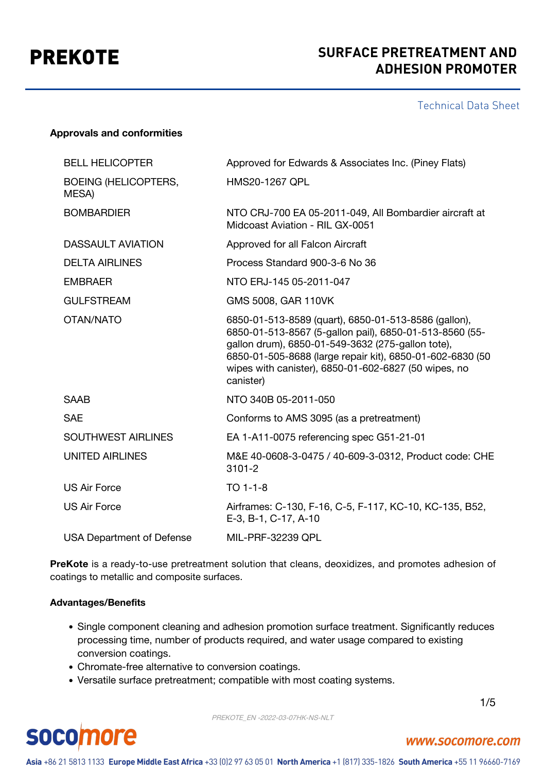

## PREKOTE **SURFACE PRETREATMENT AND ADHESION PROMOTER**

#### Technical Data Sheet

#### **Approvals and conformities**

| <b>BELL HELICOPTER</b>               | Approved for Edwards & Associates Inc. (Piney Flats)                                                                                                                                                                                                                                                   |
|--------------------------------------|--------------------------------------------------------------------------------------------------------------------------------------------------------------------------------------------------------------------------------------------------------------------------------------------------------|
| <b>BOEING (HELICOPTERS,</b><br>MESA) | <b>HMS20-1267 QPL</b>                                                                                                                                                                                                                                                                                  |
| <b>BOMBARDIER</b>                    | NTO CRJ-700 EA 05-2011-049, All Bombardier aircraft at<br>Midcoast Aviation - RIL GX-0051                                                                                                                                                                                                              |
| <b>DASSAULT AVIATION</b>             | Approved for all Falcon Aircraft                                                                                                                                                                                                                                                                       |
| <b>DELTA AIRLINES</b>                | Process Standard 900-3-6 No 36                                                                                                                                                                                                                                                                         |
| <b>EMBRAER</b>                       | NTO ERJ-145 05-2011-047                                                                                                                                                                                                                                                                                |
| <b>GULFSTREAM</b>                    | GMS 5008, GAR 110VK                                                                                                                                                                                                                                                                                    |
| OTAN/NATO                            | 6850-01-513-8589 (quart), 6850-01-513-8586 (gallon),<br>6850-01-513-8567 (5-gallon pail), 6850-01-513-8560 (55-<br>gallon drum), 6850-01-549-3632 (275-gallon tote),<br>6850-01-505-8688 (large repair kit), 6850-01-602-6830 (50<br>wipes with canister), 6850-01-602-6827 (50 wipes, no<br>canister) |
| <b>SAAB</b>                          | NTO 340B 05-2011-050                                                                                                                                                                                                                                                                                   |
| <b>SAE</b>                           | Conforms to AMS 3095 (as a pretreatment)                                                                                                                                                                                                                                                               |
| <b>SOUTHWEST AIRLINES</b>            | EA 1-A11-0075 referencing spec G51-21-01                                                                                                                                                                                                                                                               |
| <b>UNITED AIRLINES</b>               | M&E 40-0608-3-0475 / 40-609-3-0312, Product code: CHE<br>$3101 - 2$                                                                                                                                                                                                                                    |
| <b>US Air Force</b>                  | $TO 1-1-8$                                                                                                                                                                                                                                                                                             |
| <b>US Air Force</b>                  | Airframes: C-130, F-16, C-5, F-117, KC-10, KC-135, B52,<br>E-3, B-1, C-17, A-10                                                                                                                                                                                                                        |
| <b>USA Department of Defense</b>     | MIL-PRF-32239 QPL                                                                                                                                                                                                                                                                                      |

**PreKote** is a ready-to-use pretreatment solution that cleans, deoxidizes, and promotes adhesion of coatings to metallic and composite surfaces.

#### **Advantages/Benefits**

- Single component cleaning and adhesion promotion surface treatment. Significantly reduces processing time, number of products required, and water usage compared to existing conversion coatings.
- Chromate-free alternative to conversion coatings.
- Versatile surface pretreatment; compatible with most coating systems.

1/5



## **socomore**

#### www.socomore.com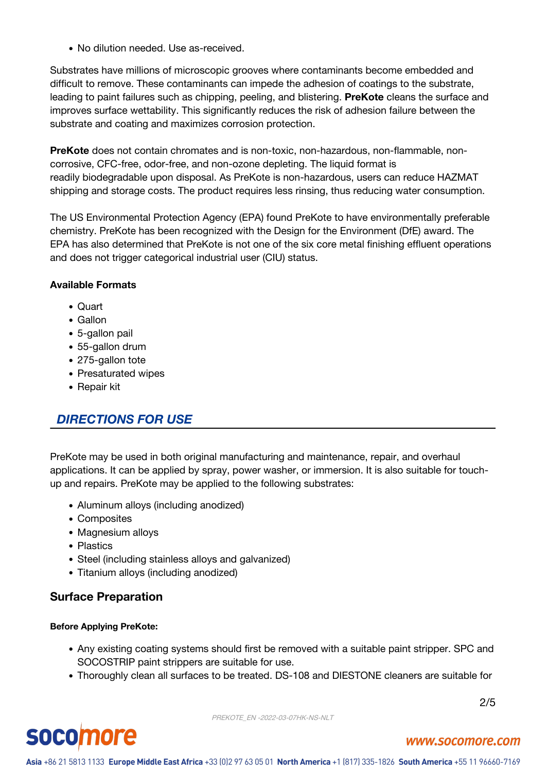No dilution needed. Use as-received.

Substrates have millions of microscopic grooves where contaminants become embedded and difficult to remove. These contaminants can impede the adhesion of coatings to the substrate, leading to paint failures such as chipping, peeling, and blistering. **PreKote** cleans the surface and improves surface wettability. This significantly reduces the risk of adhesion failure between the substrate and coating and maximizes corrosion protection.

**PreKote** does not contain chromates and is non-toxic, non-hazardous, non-flammable, noncorrosive, CFC-free, odor-free, and non-ozone depleting. The liquid format is readily biodegradable upon disposal. As PreKote is non-hazardous, users can reduce HAZMAT shipping and storage costs. The product requires less rinsing, thus reducing water consumption.

The US Environmental Protection Agency (EPA) found PreKote to have environmentally preferable chemistry. PreKote has been recognized with the Design for the Environment (DfE) award. The EPA has also determined that PreKote is not one of the six core metal finishing effluent operations and does not trigger categorical industrial user (CIU) status.

#### **Available Formats**

- Quart
- Gallon
- 5-gallon pail
- 55-gallon drum
- 275-gallon tote
- Presaturated wipes
- Repair kit

## *DIRECTIONS FOR USE*

PreKote may be used in both original manufacturing and maintenance, repair, and overhaul applications. It can be applied by spray, power washer, or immersion. It is also suitable for touchup and repairs. PreKote may be applied to the following substrates:

- Aluminum alloys (including anodized)
- Composites
- Magnesium alloys
- Plastics
- Steel (including stainless alloys and galvanized)
- Titanium alloys (including anodized)

### **Surface Preparation**

#### **Before Applying PreKote:**

- Any existing coating systems should first be removed with a suitable paint stripper. SPC and SOCOSTRIP paint strippers are suitable for use.
- Thoroughly clean all surfaces to be treated. DS-108 and DIESTONE cleaners are suitable for

PREKOTE\_EN -2022-03-07HK-NS-NLT

2/5

# **socomore**

#### www.socomore.com

Asia +86 21 5813 1133 Europe Middle East Africa +33 (0)2 97 63 05 01 North America +1 (817) 335-1826 South America +55 11 96660-7169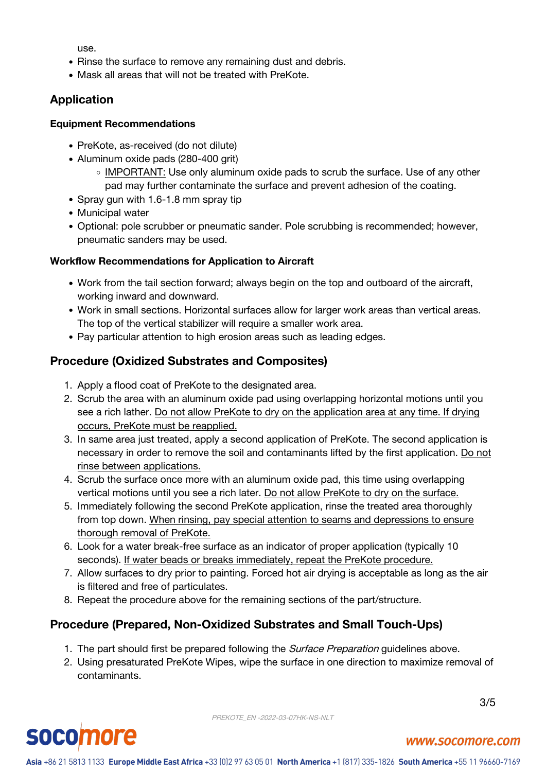use.

- Rinse the surface to remove any remaining dust and debris.
- Mask all areas that will not be treated with PreKote.

## **Application**

#### **Equipment Recommendations**

- PreKote, as-received (do not dilute)
- Aluminum oxide pads (280-400 grit)
	- IMPORTANT: Use only aluminum oxide pads to scrub the surface. Use of any other pad may further contaminate the surface and prevent adhesion of the coating.
- Spray gun with 1.6-1.8 mm spray tip
- Municipal water
- Optional: pole scrubber or pneumatic sander. Pole scrubbing is recommended; however, pneumatic sanders may be used.

#### **Workflow Recommendations for Application to Aircraft**

- Work from the tail section forward; always begin on the top and outboard of the aircraft, working inward and downward.
- Work in small sections. Horizontal surfaces allow for larger work areas than vertical areas. The top of the vertical stabilizer will require a smaller work area.
- Pay particular attention to high erosion areas such as leading edges.

## **Procedure (Oxidized Substrates and Composites)**

- 1. Apply a flood coat of PreKote to the designated area.
- 2. Scrub the area with an aluminum oxide pad using overlapping horizontal motions until you see a rich lather. Do not allow PreKote to dry on the application area at any time. If drying occurs, PreKote must be reapplied.
- 3. In same area just treated, apply a second application of PreKote. The second application is necessary in order to remove the soil and contaminants lifted by the first application. Do not rinse between applications.
- 4. Scrub the surface once more with an aluminum oxide pad, this time using overlapping vertical motions until you see a rich later. Do not allow PreKote to dry on the surface.
- 5. Immediately following the second PreKote application, rinse the treated area thoroughly from top down. When rinsing, pay special attention to seams and depressions to ensure thorough removal of PreKote.
- 6. Look for a water break-free surface as an indicator of proper application (typically 10 seconds). If water beads or breaks immediately, repeat the PreKote procedure.
- 7. Allow surfaces to dry prior to painting. Forced hot air drying is acceptable as long as the air is filtered and free of particulates.
- 8. Repeat the procedure above for the remaining sections of the part/structure.

## **Procedure (Prepared, Non-Oxidized Substrates and Small Touch-Ups)**

- 1. The part should first be prepared following the *Surface Preparation* guidelines above.
- 2. Using presaturated PreKote Wipes, wipe the surface in one direction to maximize removal of contaminants.

3/5



#### www.socomore.com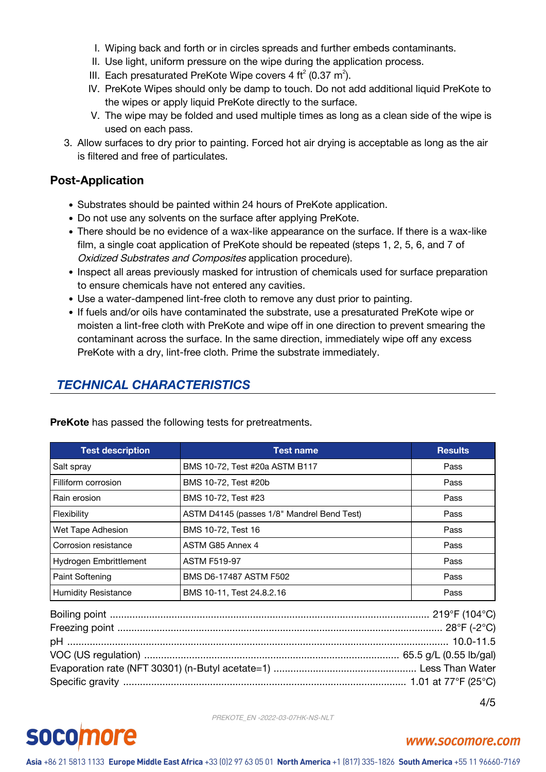- I. Wiping back and forth or in circles spreads and further embeds contaminants.
- II. Use light, uniform pressure on the wipe during the application process.
- III. Each presaturated PreKote Wipe covers 4  $\text{ft}^2$  (0.37 m<sup>2</sup>).
- IV. PreKote Wipes should only be damp to touch. Do not add additional liquid PreKote to the wipes or apply liquid PreKote directly to the surface.
- V. The wipe may be folded and used multiple times as long as a clean side of the wipe is used on each pass.
- 3. Allow surfaces to dry prior to painting. Forced hot air drying is acceptable as long as the air is filtered and free of particulates.

### **Post-Application**

- Substrates should be painted within 24 hours of PreKote application.
- Do not use any solvents on the surface after applying PreKote.
- There should be no evidence of a wax-like appearance on the surface. If there is a wax-like film, a single coat application of PreKote should be repeated (steps 1, 2, 5, 6, and 7 of Oxidized Substrates and Composites application procedure).
- Inspect all areas previously masked for intrustion of chemicals used for surface preparation to ensure chemicals have not entered any cavities.
- Use a water-dampened lint-free cloth to remove any dust prior to painting.
- If fuels and/or oils have contaminated the substrate, use a presaturated PreKote wipe or moisten a lint-free cloth with PreKote and wipe off in one direction to prevent smearing the contaminant across the surface. In the same direction, immediately wipe off any excess PreKote with a dry, lint-free cloth. Prime the substrate immediately.

## *TECHNICAL CHARACTERISTICS*

| <b>Test description</b>    | <b>Test name</b>                           | <b>Results</b> |
|----------------------------|--------------------------------------------|----------------|
| Salt spray                 | BMS 10-72, Test #20a ASTM B117             | Pass           |
| Filliform corrosion        | BMS 10-72, Test #20b                       | Pass           |
| Rain erosion               | BMS 10-72, Test #23                        | Pass           |
| Flexibility                | ASTM D4145 (passes 1/8" Mandrel Bend Test) | Pass           |
| Wet Tape Adhesion          | BMS 10-72, Test 16                         | Pass           |
| Corrosion resistance       | ASTM G85 Annex 4                           | Pass           |
| Hydrogen Embrittlement     | <b>ASTM F519-97</b>                        | Pass           |
| Paint Softening            | BMS D6-17487 ASTM F502                     | Pass           |
| <b>Humidity Resistance</b> | BMS 10-11, Test 24.8.2.16                  | Pass           |

**PreKote** has passed the following tests for pretreatments.

4/5

#### PREKOTE\_EN -2022-03-07HK-NS-NLT

# **socomore**

## www.socomore.com

Asia +86 21 5813 1133 Europe Middle East Africa +33 (0)2 97 63 05 01 North America +1 (817) 335-1826 South America +55 11 96660-7169